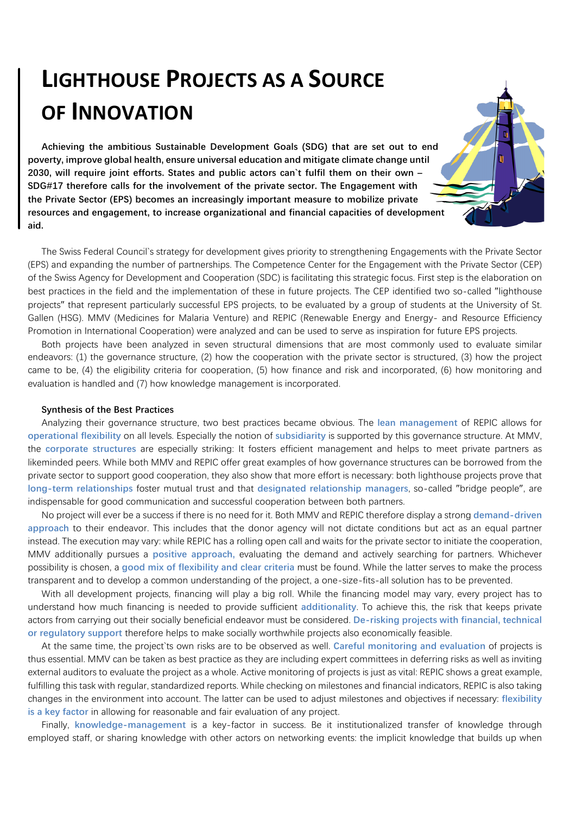## **LIGHTHOUSE PROJECTS AS A SOURCE OF INNOVATION**

**Achieving the ambitious Sustainable Development Goals (SDG) that are set out to end poverty, improve global health, ensure universal education and mitigate climate change until 2030, will require joint efforts. States and public actors can`t fulfil them on their own – SDG#17 therefore calls for the involvement of the private sector. The Engagement with the Private Sector (EPS) becomes an increasingly important measure to mobilize private resources and engagement, to increase organizational and financial capacities of development aid.** 

The Swiss Federal Council's strategy for development gives priority to strengthening Engagements with the Private Sector (EPS) and expanding the number of partnerships. The Competence Center for the Engagement with the Private Sector (CEP) of the Swiss Agency for Development and Cooperation (SDC) is facilitating this strategic focus. First step is the elaboration on best practices in the field and the implementation of these in future projects. The CEP identified two so-called "lighthouse projects" that represent particularly successful EPS projects, to be evaluated by a group of students at the University of St. Gallen (HSG). MMV (Medicines for Malaria Venture) and REPIC (Renewable Energy and Energy- and Resource Efficiency Promotion in International Cooperation) were analyzed and can be used to serve as inspiration for future EPS projects.

Both projects have been analyzed in seven structural dimensions that are most commonly used to evaluate similar endeavors: (1) the governance structure, (2) how the cooperation with the private sector is structured, (3) how the project came to be, (4) the eligibility criteria for cooperation, (5) how finance and risk and incorporated, (6) how monitoring and evaluation is handled and (7) how knowledge management is incorporated.

## **Synthesis of the Best Practices**

Analyzing their governance structure, two best practices became obvious. The lean management of REPIC allows for **operational flexibility** on all levels. Especially the notion of subsidiarity is supported by this governance structure. At MMV, the corporate structures are especially striking: It fosters efficient management and helps to meet private partners as likeminded peers. While both MMV and REPIC offer great examples of how governance structures can be borrowed from the private sector to support good cooperation, they also show that more effort is necessary: both lighthouse projects prove that long-term relationships foster mutual trust and that designated relationship managers, so-called "bridge people", are indispensable for good communication and successful cooperation between both partners.

No project will ever be a success if there is no need for it. Both MMV and REPIC therefore display a strong **demand-driven** approach to their endeavor. This includes that the donor agency will not dictate conditions but act as an equal partner instead. The execution may vary: while REPIC has a rolling open call and waits for the private sector to initiate the cooperation, MMV additionally pursues a positive approach, evaluating the demand and actively searching for partners. Whichever possibility is chosen, a good mix of flexibility and clear criteria must be found. While the latter serves to make the process transparent and to develop a common understanding of the project, a one-size-fits-all solution has to be prevented.

With all development projects, financing will play a big roll. While the financing model may vary, every project has to understand how much financing is needed to provide sufficient additionality. To achieve this, the risk that keeps private actors from carrying out their socially beneficial endeavor must be considered. De-risking projects with financial, technical **or regulatory support therefore helps to make socially worthwhile projects also economically feasible.** 

At the same time, the project ts own risks are to be observed as well. Careful monitoring and evaluation of projects is thus essential. MMV can be taken as best practice as they are including expert committees in deferring risks as well as inviting external auditors to evaluate the project as a whole. Active monitoring of projects is just as vital: REPIC shows a great example, fulfilling this task with regular, standardized reports. While checking on milestones and financial indicators, REPIC is also taking changes in the environment into account. The latter can be used to adjust milestones and objectives if necessary: flexibility **is a key factor** in allowing for reasonable and fair evaluation of any project.

Finally, knowledge-management is a key-factor in success. Be it institutionalized transfer of knowledge through employed staff, or sharing knowledge with other actors on networking events: the implicit knowledge that builds up when